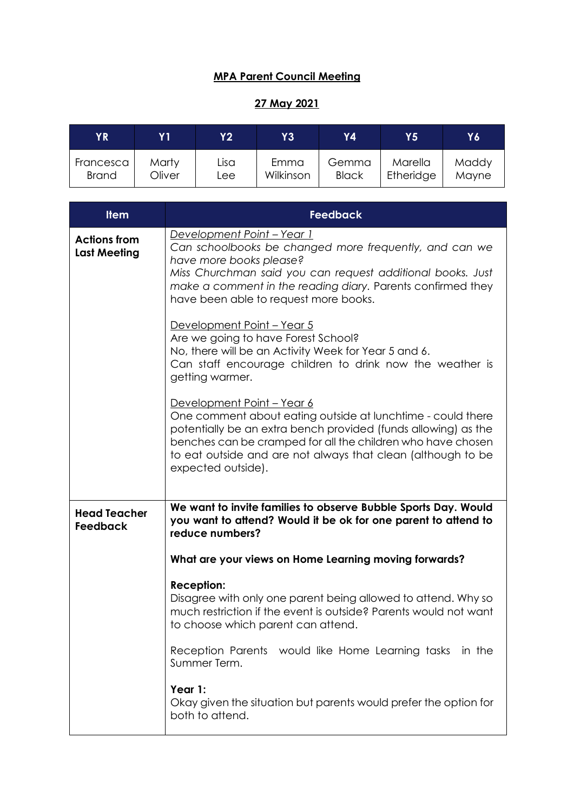## **MPA Parent Council Meeting**

## **27 May 2021**

| ΥR           | Y 1    | <b>Y2</b> | Y3        | Υ4           | Υ5        | Y6    |
|--------------|--------|-----------|-----------|--------------|-----------|-------|
| Francesca    | Marty  | Lisa      | Emma      | Gemma        | Marella   | Maddy |
| <b>Brand</b> | Oliver | Lee       | Wilkinson | <b>Black</b> | Etheridge | Mayne |

| <b>Item</b>                                | <b>Feedback</b>                                                                                                                                                                                                                                                                                                  |
|--------------------------------------------|------------------------------------------------------------------------------------------------------------------------------------------------------------------------------------------------------------------------------------------------------------------------------------------------------------------|
| <b>Actions from</b><br><b>Last Meeting</b> | Development Point - Year 1<br>Can schoolbooks be changed more frequently, and can we<br>have more books please?<br>Miss Churchman said you can request additional books. Just<br>make a comment in the reading diary. Parents confirmed they<br>have been able to request more books.                            |
|                                            | Development Point - Year 5<br>Are we going to have Forest School?<br>No, there will be an Activity Week for Year 5 and 6.<br>Can staff encourage children to drink now the weather is<br>getting warmer.                                                                                                         |
|                                            | Development Point - Year 6<br>One comment about eating outside at lunchtime - could there<br>potentially be an extra bench provided (funds allowing) as the<br>benches can be cramped for all the children who have chosen<br>to eat outside and are not always that clean (although to be<br>expected outside). |
| <b>Head Teacher</b><br><b>Feedback</b>     | We want to invite families to observe Bubble Sports Day. Would<br>you want to attend? Would it be ok for one parent to attend to<br>reduce numbers?                                                                                                                                                              |
|                                            | What are your views on Home Learning moving forwards?                                                                                                                                                                                                                                                            |
|                                            | <b>Reception:</b><br>Disagree with only one parent being allowed to attend. Why so<br>much restriction if the event is outside? Parents would not want<br>to choose which parent can attend.                                                                                                                     |
|                                            | Reception Parents would like Home Learning tasks in the<br>Summer Term.                                                                                                                                                                                                                                          |
|                                            | Year 1:<br>Okay given the situation but parents would prefer the option for<br>both to attend.                                                                                                                                                                                                                   |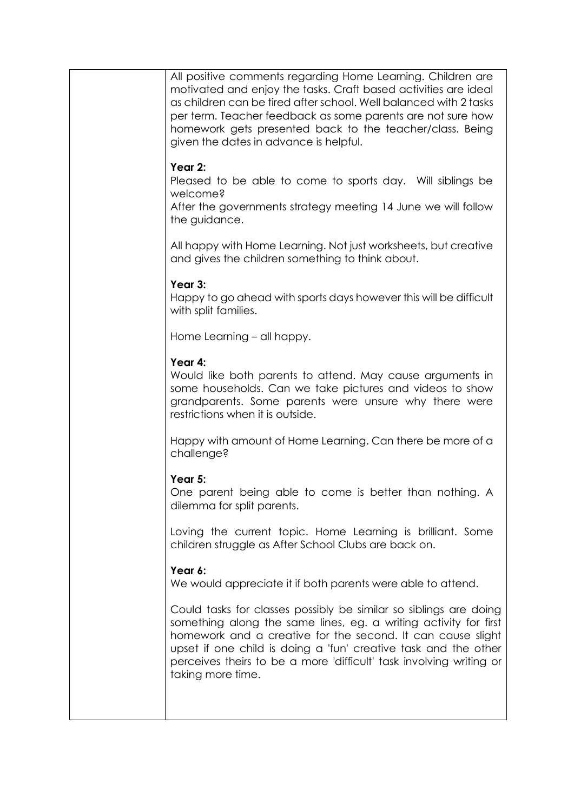| All positive comments regarding Home Learning. Children are<br>motivated and enjoy the tasks. Craft based activities are ideal<br>as children can be tired after school. Well balanced with 2 tasks<br>per term. Teacher feedback as some parents are not sure how<br>homework gets presented back to the teacher/class. Being<br>given the dates in advance is helpful. |
|--------------------------------------------------------------------------------------------------------------------------------------------------------------------------------------------------------------------------------------------------------------------------------------------------------------------------------------------------------------------------|
| Year 2:<br>Pleased to be able to come to sports day. Will siblings be<br>welcome?<br>After the governments strategy meeting 14 June we will follow<br>the guidance.                                                                                                                                                                                                      |
| All happy with Home Learning. Not just worksheets, but creative<br>and gives the children something to think about.                                                                                                                                                                                                                                                      |
| Year 3:<br>Happy to go ahead with sports days however this will be difficult<br>with split families.                                                                                                                                                                                                                                                                     |
| Home Learning - all happy.                                                                                                                                                                                                                                                                                                                                               |
| Year 4:<br>Would like both parents to attend. May cause arguments in<br>some households. Can we take pictures and videos to show<br>grandparents. Some parents were unsure why there were<br>restrictions when it is outside.                                                                                                                                            |
| Happy with amount of Home Learning. Can there be more of a<br>challenge?                                                                                                                                                                                                                                                                                                 |
| Year 5:<br>One parent being able to come is better than nothing. A<br>dilemma for split parents.                                                                                                                                                                                                                                                                         |
| Loving the current topic. Home Learning is brilliant. Some<br>children struggle as After School Clubs are back on.                                                                                                                                                                                                                                                       |
| Year 6:<br>We would appreciate it if both parents were able to attend.                                                                                                                                                                                                                                                                                                   |
| Could tasks for classes possibly be similar so siblings are doing<br>something along the same lines, eg. a writing activity for first<br>homework and a creative for the second. It can cause slight<br>upset if one child is doing a 'fun' creative task and the other<br>perceives theirs to be a more 'difficult' task involving writing or<br>taking more time.      |
|                                                                                                                                                                                                                                                                                                                                                                          |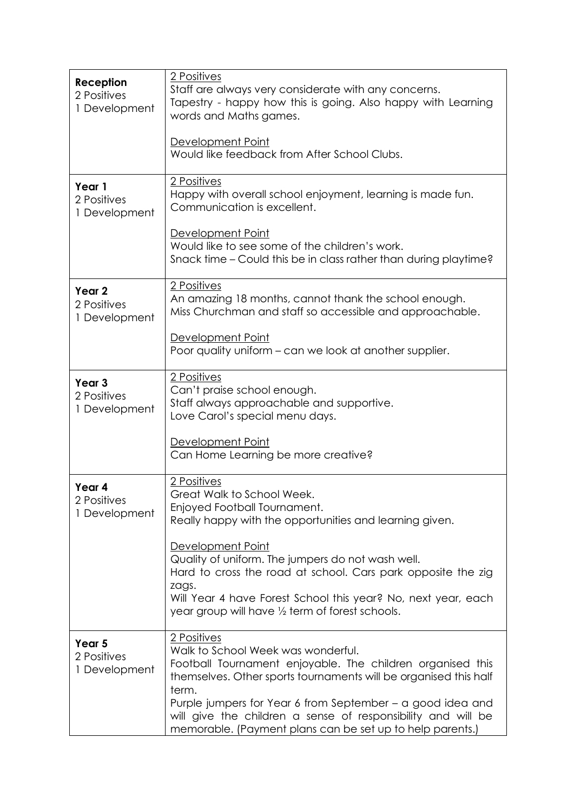| Reception<br>2 Positives<br>1 Development         | 2 Positives<br>Staff are always very considerate with any concerns.<br>Tapestry - happy how this is going. Also happy with Learning<br>words and Maths games.                                                                                                                                                                                                                                                |
|---------------------------------------------------|--------------------------------------------------------------------------------------------------------------------------------------------------------------------------------------------------------------------------------------------------------------------------------------------------------------------------------------------------------------------------------------------------------------|
|                                                   | Development Point<br>Would like feedback from After School Clubs.                                                                                                                                                                                                                                                                                                                                            |
| Year 1<br>2 Positives<br>1 Development            | 2 Positives<br>Happy with overall school enjoyment, learning is made fun.<br>Communication is excellent.                                                                                                                                                                                                                                                                                                     |
|                                                   | Development Point<br>Would like to see some of the children's work.<br>Snack time – Could this be in class rather than during playtime?                                                                                                                                                                                                                                                                      |
| Year <sub>2</sub><br>2 Positives<br>1 Development | 2 Positives<br>An amazing 18 months, cannot thank the school enough.<br>Miss Churchman and staff so accessible and approachable.                                                                                                                                                                                                                                                                             |
|                                                   | Development Point<br>Poor quality uniform - can we look at another supplier.                                                                                                                                                                                                                                                                                                                                 |
| Year <sub>3</sub><br>2 Positives<br>1 Development | 2 Positives<br>Can't praise school enough.<br>Staff always approachable and supportive.<br>Love Carol's special menu days.                                                                                                                                                                                                                                                                                   |
|                                                   | Development Point<br>Can Home Learning be more creative?                                                                                                                                                                                                                                                                                                                                                     |
| Year 4<br>2 Positives<br>1 Development            | 2 Positives<br>Great Walk to School Week.<br>Enjoyed Football Tournament.<br>Really happy with the opportunities and learning given.<br>Development Point<br>Quality of uniform. The jumpers do not wash well.<br>Hard to cross the road at school. Cars park opposite the zig<br>zags.<br>Will Year 4 have Forest School this year? No, next year, each<br>year group will have 1/2 term of forest schools. |
| Year 5<br>2 Positives<br>1 Development            | 2 Positives<br>Walk to School Week was wonderful.<br>Football Tournament enjoyable. The children organised this<br>themselves. Other sports tournaments will be organised this half<br>term.<br>Purple jumpers for Year 6 from September – a good idea and<br>will give the children a sense of responsibility and will be<br>memorable. (Payment plans can be set up to help parents.)                      |